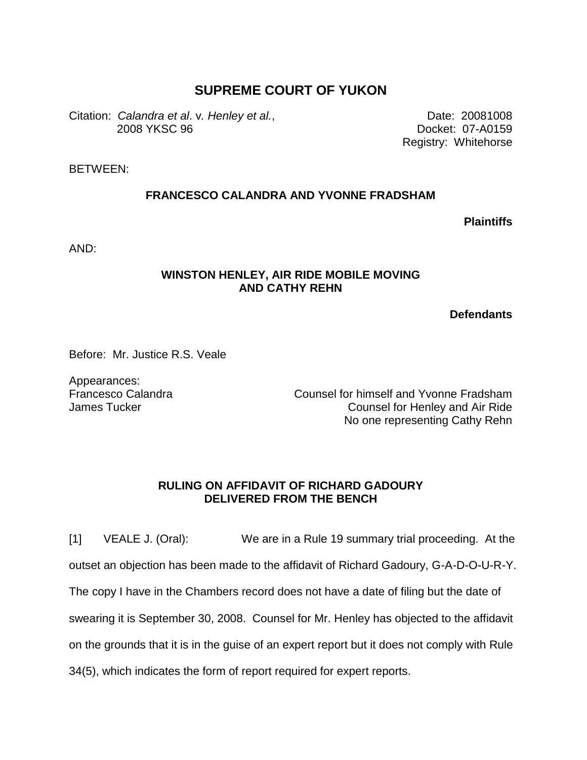## **SUPREME COURT OF YUKON**

Citation: *Calandra et al*. v*. Henley et al.*, 2008 YKSC 96

Date: 20081008 Docket: 07-A0159 Registry: Whitehorse

BETWEEN:

## **FRANCESCO CALANDRA AND YVONNE FRADSHAM**

**Plaintiffs**

AND:

## **WINSTON HENLEY, AIR RIDE MOBILE MOVING AND CATHY REHN**

**Defendants**

Before: Mr. Justice R.S. Veale

Appearances: Francesco Calandra James Tucker

Counsel for himself and Yvonne Fradsham Counsel for Henley and Air Ride No one representing Cathy Rehn

## **RULING ON AFFIDAVIT OF RICHARD GADOURY DELIVERED FROM THE BENCH**

[1] VEALE J. (Oral): We are in a Rule 19 summary trial proceeding. At the

outset an objection has been made to the affidavit of Richard Gadoury, G-A-D-O-U-R-Y.

The copy I have in the Chambers record does not have a date of filing but the date of

swearing it is September 30, 2008. Counsel for Mr. Henley has objected to the affidavit

on the grounds that it is in the guise of an expert report but it does not comply with Rule

34(5), which indicates the form of report required for expert reports.